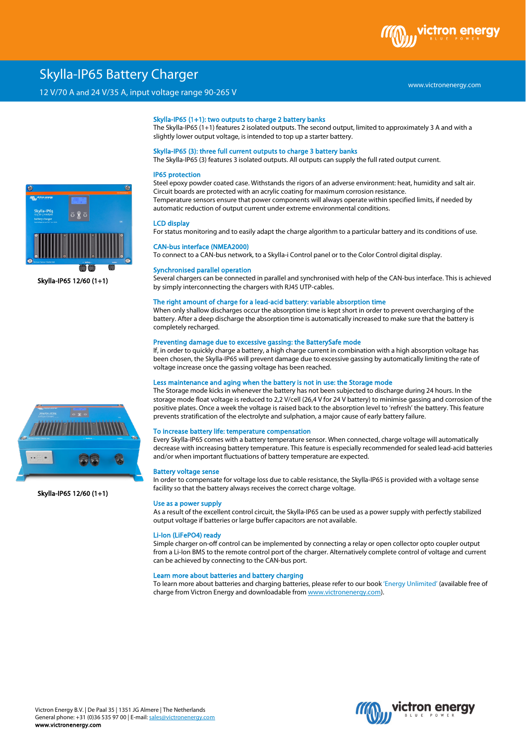

# Skylla-IP65 Battery Charger

# 12 V/70 A and 24 V/35 A, input voltage range 90-265 V

#### www.victronenergy.com

## Skylla-IP65 (1+1): two outputs to charge 2 battery banks

The Skylla-IP65 (1+1) features 2 isolated outputs. The second output, limited to approximately 3 A and with a slightly lower output voltage, is intended to top up a starter battery.

## Skylla-IP65 (3): three full current outputs to charge 3 battery banks

The Skylla-IP65 (3) features 3 isolated outputs. All outputs can supply the full rated output current.

#### IP65 protection

Steel epoxy powder coated case. Withstands the rigors of an adverse environment: heat, humidity and salt air. Circuit boards are protected with an acrylic coating for maximum corrosion resistance. Temperature sensors ensure that power components will always operate within specified limits, if needed by automatic reduction of output current under extreme environmental conditions.

### LCD display

For status monitoring and to easily adapt the charge algorithm to a particular battery and its conditions of use.

## CAN-bus interface (NMEA2000)

To connect to a CAN-bus network, to a Skylla-i Control panel or to the Color Control digital display.

#### Synchronised parallel operation

Several chargers can be connected in parallel and synchronised with help of the CAN-bus interface. This is achieved by simply interconnecting the chargers with RJ45 UTP-cables.

#### The right amount of charge for a lead-acid battery: variable absorption time

When only shallow discharges occur the absorption time is kept short in order to prevent overcharging of the battery. After a deep discharge the absorption time is automatically increased to make sure that the battery is completely recharged.

## Preventing damage due to excessive gassing: the BatterySafe mode

If, in order to quickly charge a battery, a high charge current in combination with a high absorption voltage has been chosen, the Skylla-IP65 will prevent damage due to excessive gassing by automatically limiting the rate of voltage increase once the gassing voltage has been reached.

#### Less maintenance and aging when the battery is not in use: the Storage mode

The Storage mode kicks in whenever the battery has not been subjected to discharge during 24 hours. In the storage mode float voltage is reduced to 2,2 V/cell (26,4 V for 24 V battery) to minimise gassing and corrosion of the positive plates. Once a week the voltage is raised back to the absorption level to 'refresh' the battery. This feature prevents stratification of the electrolyte and sulphation, a major cause of early battery failure.

## To increase battery life: temperature compensation

Every Skylla-IP65 comes with a battery temperature sensor. When connected, charge voltage will automatically decrease with increasing battery temperature. This feature is especially recommended for sealed lead-acid batteries and/or when important fluctuations of battery temperature are expected.

#### Battery voltage sense

In order to compensate for voltage loss due to cable resistance, the Skylla-IP65 is provided with a voltage sense facility so that the battery always receives the correct charge voltage.

#### Use as a power supply

As a result of the excellent control circuit, the Skylla-IP65 can be used as a power supply with perfectly stabilized output voltage if batteries or large buffer capacitors are not available.

#### Li-Ion (LiFePO4) ready

Simple charger on-off control can be implemented by connecting a relay or open collector opto coupler output from a Li-Ion BMS to the remote control port of the charger. Alternatively complete control of voltage and current can be achieved by connecting to the CAN-bus port.

### Learn more about batteries and battery charging

To learn more about batteries and charging batteries, please refer to our book 'Energy Unlimited' (available free of charge from Victron Energy and downloadable from www.victronenergy.com).





Skylla-IP65 12/60 (1+1)